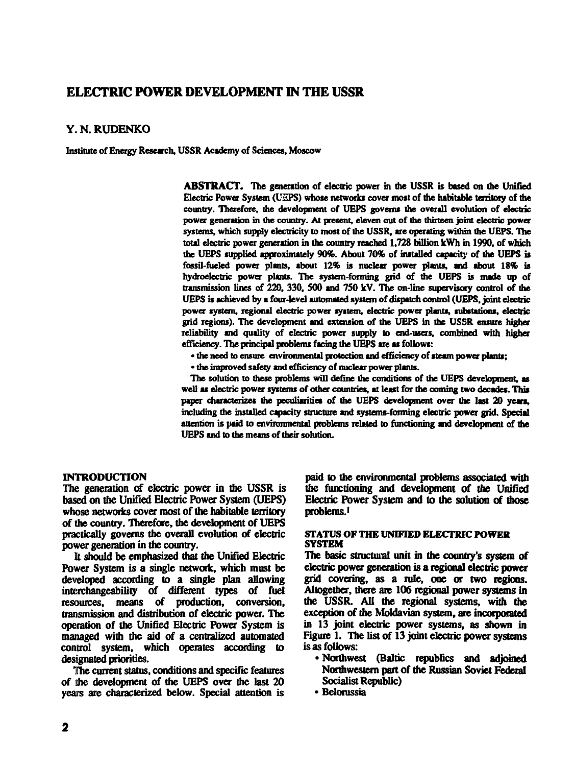# **ELECTRIC POWER DEVELOPMENT IN THE USSR**

# **Y. N . RUDENK O**

**Institute of Energy Research, USSR Academy of Sciences, Moscow**

**ABSTRACT. The generation of electric power in the USSR is based on the Unified Electric Power System (UEPS) whose networks cover most of the habitable territory of die country. Therefore, the development of UEPS governs the overall evolution of electric power generation in die country. At present, eleven out of the thirteen joint electric power** systems, which supply electricity to most of the USSR, are operating within the UEPS. The **total electric power generation in the country reached 1,728 billion kWh in 1990, of which the UEPS supplied approximately 90%. About 70% of installed capacity of the UEPS is fossil-fueled power plants, about 12% is nuclear power plants, and about 18% is hydroelectric power plants. The system-forming grid of the UEPS is made up of transmission lines of 220, 330, 500 and 750 kV. The on-line supervisory control of the UEPS is achieved by a four-level automated system of dispatch control (UEPS, joint electric power system, regional electric power system, electric power plants, substations, electric grid regions). The development and extension of the UEPS in the USSR ensure higher reliability and quality of electric power supply to end-users, combined with higher efficiency. The principal problems facing the UEPS are as follows:**

**• the need to ensure environmental protection and efficiency of steam power plants;**

**• the improved safely and efficiency of nuclear power plants.**

**The solution to these problems will define the conditions of the UEPS development, as** well as electric power systems of other countries, at least for the coming two decades. This **paper characterizes the peculiarities of the UEPS development over the last 20 years, including the installed capacity structure and systems-forming electric power grid. Special attention is paid to environmental problems related to functioning and development of the UEPS and to the means of their solution.**

## **INTRODUCTION**

**The generation of electric power in the USSR is based on the Unified Electric Power System (UEPS) whose networks cover most of the habitable territory of the country. Therefore, the development of UEPS practically governs the overall evolution of electric power generation in the country.**

**It should be emphasized that the Unified Electric Power System is a single network, which must be developed according to a single plan allowing** interchangeability of different types of fuel **resources, means of production, conversion, transmission and distribution of electric power. The operation of the Unified Electric Power System is managed with the aid of a centralized automated control system, which operates according to designated priorities.**

**The current status, conditions and specific features of the development of the UEPS over the last 20 years are characterized below. Special attention is** **paid to the environmental problems associated with the functioning and development of the Unified Electric Power System and to the solution of those problems.<sup>1</sup>**

## **STATUS OF THE UNIFIED ELECTRIC POWER SYSTEM**

**The basic structural unit in the country's system of electric power generation is a regional electric power grid covering, as a rule, one or two regions. Altogether, there are 106 regional power systems in the USSR. All the regional systems, with the exception of the Moldavian system, are incorporated in 13 joint electric power systems, as shown in Figure 1. The list of 13 joint electric power systems is as follows:**

- **Northwest (Baltic republics and adjoined Northwestern part of the Russian Soviet Federal Socialist Republic)**
- **Belorussia**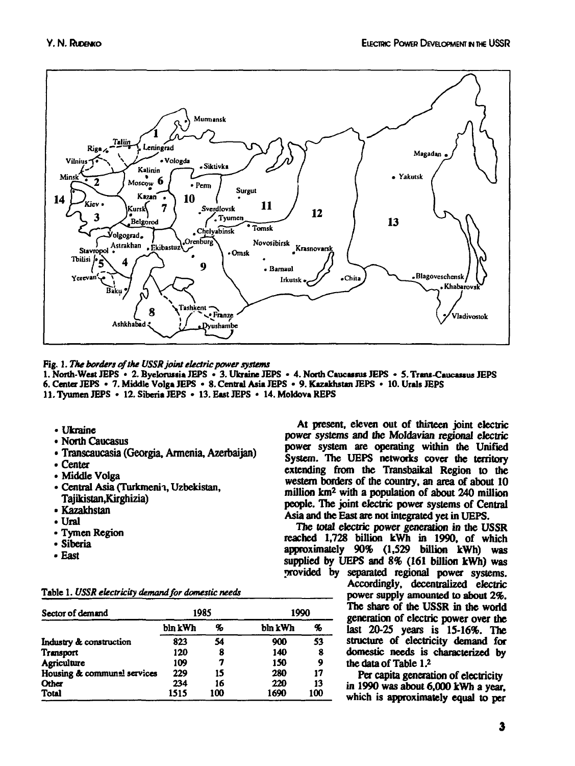

**Fig. 1.** *The borders of the USSR joint electric power systems*

**I. North-West JEPS • 2. Byelorussia JEPS • 3. Ukraine JEPS • 4. North Caucasus JEPS • 5. Trans-Caucassus JEPS 6. Center JEPS • 7. Middle Volga JEPS • 8. Central Asia JEPS • 9. Kazakhstan JEPS • 10. Urals JEPS II. Tyumen JEPS • 12. Siberia JEPS • 13. East JEPS • 14. Moldova REPS**

- **Ukraine**
- **North Caucasus**
- **Transcaucasia (Georgia, Armenia, Azerbaijan)**
- **Center**
- **Middle Volga**
- **Central Asia (Turkmenh, Uzbekistan, Tajikistan .Kirghizia)**
- **Kazakhstan**
- **Ural**
- **Tymcn Region**
- **•Siberia**
- **East**

|  | Table 1. USSR electricity demand for domestic needs |  |  |
|--|-----------------------------------------------------|--|--|
|  |                                                     |  |  |

| Sector of demand            |         | 1985 | 1990    |     |  |
|-----------------------------|---------|------|---------|-----|--|
|                             | bln kWh | %    | bln kWh | %   |  |
| Industry & construction     | 823     | 54   | 900     | 53  |  |
| Transport                   | 120     | 8    | 140     | 8   |  |
| <b>Agriculture</b>          | 109     | 7    | 150     | 9   |  |
| Housing & communal services | 229     | 15   | 280     | 17  |  |
| Other                       | 234     | 16   | 220     | 13  |  |
| Total                       | 1515    | 100  | 1690    | 100 |  |

**At present, eleven out of thirteen joint electric power systems and the Moldavian regional eleciric power system are operating within the Unified System. The UEPS networks cover the territory extending from the Transbaikal Region to the western borders of the country, an area of about 10 million km<sup>2</sup> with a population of about 240 million people. The joint electric power systems of Central Asia and the East are not integrated yet in UEPS.**

**The total electric power generation in the USSR reached 1,728 billion kWh in 1990, of which approximately 90% (1,529 billion kWh) was supplied by UEPS and** *8%* **(161 billion kWh) was provided by separated regional power systems.**

**Accordingly, decentralized electric power supply amounted to about** *2%.* **The share of the USSR in the world generation of electric power over the last 20-25 years is 15-16%. The structure of electricity demand for domestic needs is characterized by the data of Table I.<sup>2</sup>**

**Per capita generation of electricity in 1990 was about 6,000 kWh a year, which is approximately equal to per**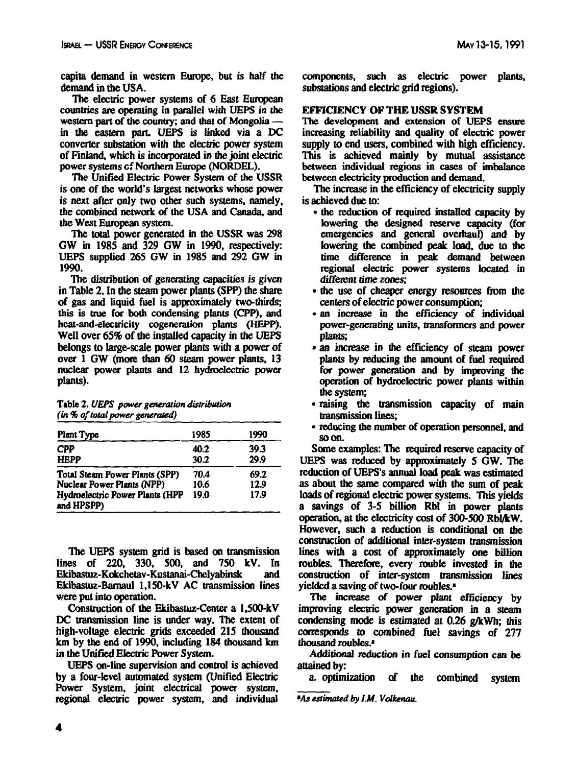**capita demand in western Europe, but is half the demand in the USA.**

**The electric power systems of 6 East European countries are operating in parallel with UEPS in the western part of the country; and that of Mongolia in the eastern part UEPS is linked via a DC converter substation with the electric power system of Finland, which is incorporated in the joint electric power systems cf Northern Europe (NORDEL).**

**The Unified Electric Power System of the USSR is one of the world's largest networks whose power is next after only two other such systems, namely, the combined network of the USA and Canada, and the West European system.**

**The total power generated in the USSR was 298 GW in 198S and 329 GW in 1990, respectively: UEPS supplied 265 GW in 1985 and 292 GW in 1990.**

**The distribution of generating capacities is given in Table 2. In the steam power plants (SPP) the share of gas and liquid fuel is approximately two-thirds; this is true for both condensing plants (CPP), and heat-and-electricity cogeneration plants (HEPP). Well over 65% of the installed capacity in the UEPS belongs to large-scale power plants with a power of over 1 GW (more than 60 steam power plants, 13 nuclear power plants and 12 hydroelectric power plants).**

**Table 2.** *UEPS power generation distribution (in % of total power generated)*

| Plant Type                                    | 1985 | 1990 |
|-----------------------------------------------|------|------|
| <b>CPP</b>                                    | 40.2 | 39.3 |
| <b>HEPP</b>                                   | 30.2 | 29.9 |
| Total Steam Power Plants (SPP)                | 70.4 | 69.2 |
| Nuclear Power Plants (NPP)                    | 10.6 | 12.9 |
| Hydroelectric Power Plants (HPP<br>and HPSPP) | 19.0 | 17.9 |

**The UEPS system grid is based on transmission lines of 220, 330, 500, and 750 kV. In Ekibastuz-Kokchetav-Kustanai-Chelyabinsk and Ekibastuz-Bamaul 1,150-kV AC transmission lines were put into operation.**

**Construction of the Ekibastuz-Center a 1,500-kV DC transmission line is under way. The extent of high-voltage electric grids exceeded 215 thousand km by the end of 1990, including 184 thousand km in the Unified Electric Power System.**

**UEPS on-line supervision and control is achieved by a four-level automated system (Unified Electric Power System, joint electrical power system, regional electric power system, and individual**

**components, such as electric power plants, substations and electric grid regions).**

# **EFFICIENCY OF THE USSR SYSTEM**

**The development and extension of UEPS ensure increasing reliability and quality of electric power supply to end users, combined with high efficiency. This is achieved mainly by mutual assistance** between individual regions in cases of imbalance **between electricity production and demand.**

**The increase in the efficiency of electricity supply is achieved due to:**

- **the reduction of required installed capacity by lowering the designed reserve capacity (for emergencies and general overhaul) and by lowering the combined peak load, due to the time difference in peak demand between regional electric power systems located in different time zones;**
- **the use of cheaper energy resources from the centers of electric power consumption;**
- **an increase in the efficiency of individual power-generating units, transformers and power plants;**
- **an increase in the efficiency of steam power plants by reducing the amount of fuel required for power generation and by improving the operation of hydroelectric power plants within the system;**
- **raising the transmission capacity of main transmission lines;**
- **reducing the number of operation personnel, and soon.**

**Some examples: The required reserve capacity of UEPS was reduced by approximately 5 GW. The reduction of UEPS's annual load peak was estimated as about the same compared with the sum of peak loads of regional electric power systems. This yields a savings of 3-5 billion RM in power plants operation, at the electricity cost of 300-500 Rbl/kW. However, such a reduction is conditional on the construction of additional inter-system transmission lines with a cost of approximately one billion roubles. Therefore, every rouble invested in the construction of inter-system transmission lines yielded a saving of two-four roubles.<sup>1</sup>**

**The increase of power plant efficiency by improving electric power generation in a steam condensing mode is estimated at 0.26 g/kWh; this corresponds to combined fuel savings of 277 thousand roubles.\***

**Additional reduction in fuel consumption can be attained by:**

**a. optimization of the combined system**

**Ms** *estimated by l.M. Volkenau.*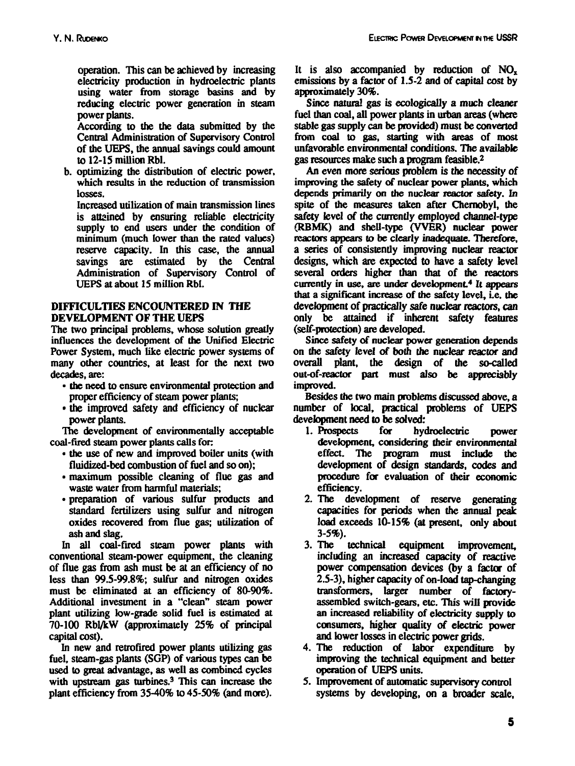**operation. This can be achieved by increasing electricity production in hydroelectric plants using water from storage basins and by reducing electric power generation in steam power plants.**

**According to the the data submitted by the Central Administration of Supervisory Control of the UEPS, the annual savings could amount to 12-15 million Rbl.**

**b. optimizing the distribution of electric power, which results in the reduction of transmission losses.**

**Increased utilization of main transmission lines is attained by ensuring reliable electricity supply to end users under the condition of minimum (much lower than the rated values) reserve capacity. In this case, the annual savings are estimated by the Central Administration of Supervisory Control of UEPS at about IS million Rbl.**

# **DIFFICULTIES ENCOUNTERED IN THE DEVELOPMENT OF THE UEPS**

**The two principal problems, whose solution greatly influences the development of the Unified Electric Power System, much like electric power systems of many other countries, at least for the next two decades, are:**

- **the need to ensure environmental protection and proper efficiency of steam power plants;**
- **the improved safety and efficiency of nuclear power plants.**

**The development of environmentally acceptable coal-fired steam power plants calls for:**

- **the use of new and improved boiler units (with fluidized-bed combustion of fuel and so on);**
- **maximum possible cleaning of flue gas and waste water from harmful materials;**
- **preparation of various sulfur products and standard fertilizers using sulfur and nitrogen oxides recovered from flue gas; utilization of ash and slag.**

**In all coal-fired steam power plants with conventional steam-power equipment, the cleaning of flue gas from ash must be at an efficiency of no less than 99.5-99.8%; sulfur and nitrogen oxides must be eliminated at an efficiency of 80-90%. Additional investment in a "clean" steam power plant utilizing low-grade solid fuel is estimated at 70-100 Rbl/kW (approximately 25% of principal capital cost).**

**In new and retrofired power plants utilizing gas fuel, steam-gas plants (SGP) of various types can be used to great advantage, as well as combined cycles with upstream gas turbines.<sup>3</sup> This can increase the plant efficiency from 35-40% to 45-50% (and more).** It is also accompanied by reduction of NO<sub>c</sub> **emissions by a factor of 1.5-2 and of capital cost by approximately 30%.**

**Since natural gas is ecologically a much cleaner fuel than coal, all power plants in urban areas (where stable gas supply can be provided) must be converted from coal to gas, starting with areas of most unfavorable environmental conditions. The available gas resources make such a program feasible.<sup>2</sup>**

**An even more serious problem is the necessity of improving the safety of nuclear power plants, which depends primarily on the nuclear reactor safety. In spite of the measures taken after Chernobyl, the safety level of the currently employed channel-type (RBMK) and shell-type (VVER) nuclear power reactors appears to be clearly inadequate. Therefore, a series of consistently improving nuclear reactor designs, which are expected to have a safety level several orders higher than that of die reactors currently in use, are under development<sup>4</sup> It appears that a significant increase of the safety level, i.e. the development of practically safe nuclear reactors, can only be attained if inherent safety features (self-protection) are developed.**

**Since safety of nuclear power generation depends on the safety level of both the nuclear reactor and overall plant, the design of the so-called out-of-reactor part must also be appreciably improved.**

**Besides the two main problems discussed above, a number of local, practical problems of UEPS development need to be solved:**

- **1. Prospects for hydroelectric power development, considering their environmental effect. The program must include the development of design standards, codes and procedure for evaluation of their economic efficiency.**
- **2. The development of reserve generating capacities for periods when the annual peak load exceeds 10-15% (at present, only about 3-5%).**
- **3. The technical equipment improvement, including an increased capacity of reactive power compensation devices (by a factor of 2.5-3), higher capacity of on-Ioad tap-changing transformers, larger number of factoryassembled switch-gears, etc. This will provide an increased reliability of electricity supply to consumers, higher quality of electric power and lower losses in electric power grids.**
- **4. The reduction of labor expenditure by improving the technical equipment and better operation of UEPS units.**
- **5. Improvement of automatic supervisory control systems by developing, on a broader scale,**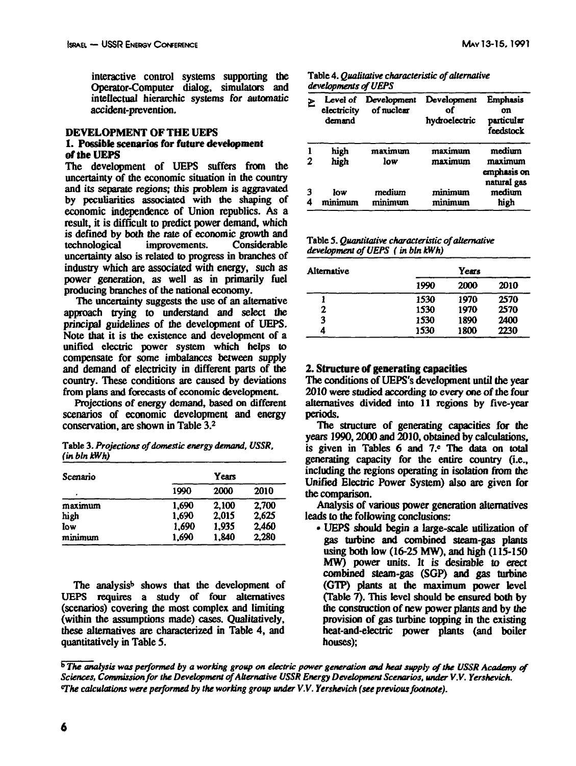interactive control systems supporting the Operator-Computer dialog, simulators and intellectual hierarchic systems for automatic accident-prevention.

#### **DEVELOPMENT OF THE UEPS**

#### **1. Possible scenarios for future development of the UEPS**

The development of UEPS suffers from the uncertainty of the economic situation in the country and its separate regions; this problem is aggravated by peculiarities associated with the shaping of economic independence of Union republics. As a result, it is difficult to predict power demand, which is defined by both the rate of economic growth and technological improvements. Considerable uncertainty also is related to progress in branches of industry which are associated with energy, such as power generation, as well as in primarily fuel producing branches of the national economy.

The uncertainty suggests the use of an alternative approach trying to understand and select the principal guidelines of the development of UEPS. Note that it is the existence and development of a unified electric power system which helps to compensate for some imbalances between supply and demand of electricity in different parts of the country. These conditions are caused by deviations from plans and forecasts of economic development

Projections of energy demand, based on different scenarios of economic development and energy conservation, are shown in Table 3.<sup>2</sup>

Table 3. *Projections of domestic energy demand, USSR, (inblnkWh)*

| Scenario | Years |       |       |  |  |  |
|----------|-------|-------|-------|--|--|--|
| ٠        | 1990  | 2000  | 2010  |  |  |  |
| maximum  | 1,690 | 2,100 | 2,700 |  |  |  |
| high     | 1,690 | 2.015 | 2.625 |  |  |  |
| low      | 1.690 | 1.935 | 2.460 |  |  |  |
| minimum  | 1.690 | 1.840 | 2,280 |  |  |  |

The analysis<sup>b</sup> shows that the development of UEPS requires a study of four alternatives (scenarios) covering die most complex and limiting (within the assumptions made) cases. Qualitatively, these alternatives are characterized in Table 4, and quantitatively in Table 5.

| Table 4. Qualitative characteristic of alternative |  |
|----------------------------------------------------|--|
| developments of UEPS                               |  |

| ₴ | electricity<br>demand | Level of Development<br>of nuclear | Development<br>of<br>hydroelectric | <b>Emphasis</b><br>on<br>particular<br>feedstock |
|---|-----------------------|------------------------------------|------------------------------------|--------------------------------------------------|
| 2 | high<br>high          | maximum<br>low                     | maximum<br>maximum                 | medium<br>maximum<br>emphasis on<br>natural gas  |
|   | low<br>minimum        | medium<br>minimum                  | minimum<br>minimum                 | medium<br>high                                   |

Table 5. *Quantitative characteristic of alternative development of UEPS (inblnW/h)*

| Alternative |      | Years |      |
|-------------|------|-------|------|
|             | 1990 | 2000  | 2010 |
|             | 1530 | 1970  | 2570 |
| 2           | 1530 | 1970  | 2570 |
| 3           | 1530 | 1890  | 2400 |
| 4           | 1530 | 1800  | 2230 |

## **2. Structure of generating capacities**

The conditions of UEPS's development until the year 2010 were studied according to every one of the four alternatives divided into 11 regions by five-year periods.

The structure of generating capacities for the years 1990,2000 and 2010, obtained by calculations, is given in Tables 6 and 7.<sup>c</sup> The data on total generating capacity for the entire country (i.e., including the regions operating in isolation from the Unified Electric Power System) also are given for the comparison.

Analysis of various power generation alternatives leads to the following conclusions:

• UEPS should begin a large-scale utilization of gas turbine and combined steam-gas plants using both low (16-25 MW), and high (115-150 MW) power units. It is desirable to erect combined steam-gas (SGP) and gas turbine (GTP) plants at the maximum power level (Table 7). This level should be ensured both by the construction of new power plants and by the provision of gas turbine topping in the existing heat-and-electric power plants (and boiler houses);

**<sup>&</sup>lt;sup>b</sup> The analysis was performed by a working group on electric power generation and heat supply of the USSR Academy of** *Sciences, Commission for the Development of Alternative USSR Energy Development Scenarios, under V.V. Yershevich. "The calculations were performed by the working group under V.V. Yershevich (see previous footnote).*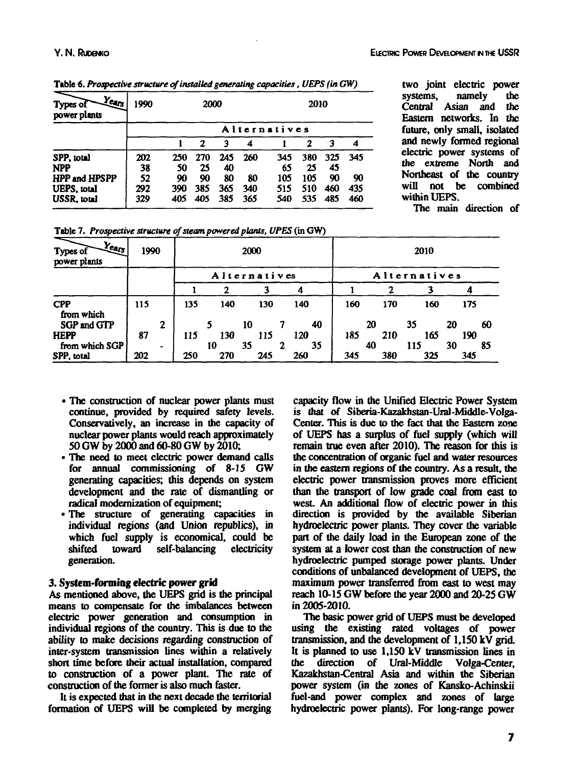| $Y_{C4/3}$<br>Types of<br>power plants | 1990 |              | 2000 |     |     |     | 2010 |     |     |  |  |
|----------------------------------------|------|--------------|------|-----|-----|-----|------|-----|-----|--|--|
|                                        |      | Alternatives |      |     |     |     |      |     |     |  |  |
|                                        |      |              | 2    | 3   | 4   |     | 2    | 3   | 4   |  |  |
| SPP. total                             | 202  | 250          | 270  | 245 | 260 | 345 | 380  | 325 | 345 |  |  |
| <b>NPP</b>                             | 38   | 50           | 25   | 40  |     | 65  | 25   | 45  |     |  |  |
| HPP and HPSPP                          | 52   | 90           | 90   | 80  | 80  | 105 | 105  | 90  | 90  |  |  |
| <b>UEPS, total</b>                     | 292  | 390          | 385  | 365 | 340 | 515 | 510  | 460 | 435 |  |  |
| USSR. total                            | 329  | 405          | 405  | 385 | 365 | 540 | 535  | 485 | 460 |  |  |

**Table 6.** *Prospective structure of installed generating capacities .UEPS(inGW)*

**two joint electric power systems, namely the Central Asian and Eastern networks. In the future, only small, isolated and newly formed regional electric power systems of the extreme North and Northeast of the country will not be combined within UEPS.**

**The main direction of**

| Table 7. Prospective structure of steam powered plants, UPES (in GW) |  |  |
|----------------------------------------------------------------------|--|--|
|----------------------------------------------------------------------|--|--|

| $Y_{\rm{Cay}}$<br>Types of<br>power plants |     | 1990<br>2000 |              |     |     | 2010 |              |     |     |          |  |
|--------------------------------------------|-----|--------------|--------------|-----|-----|------|--------------|-----|-----|----------|--|
|                                            |     |              | Alternatives |     |     |      | Alternatives |     |     |          |  |
|                                            |     |              |              | 2   |     |      |              |     |     |          |  |
| <b>CPP</b><br>from which                   | 115 |              | 135          | 140 | 130 | 140  | 160          | 170 | 160 | 175      |  |
| <b>SGP and GTP</b>                         |     | 2            |              |     | 10  | 40   |              | 20  | 35  | 20<br>60 |  |
| <b>HEPP</b>                                | 87  |              | 115          | 130 | 115 | 120  | 185          | 210 | 165 | 190      |  |
| from which SGP                             |     |              |              | 10  | 35  | 35   |              | 40  | 115 | 30<br>85 |  |
| SPP, total                                 | 202 |              | 250          | 270 | 245 | 260  | 345          | 380 | 325 | 345      |  |

- **The construction of nuclear power plants must continue, provided by required safety levels.** Conservatively, an increase in the capacity of nuclear power plants would reach approximately 50 GW by 2000 and 60-80 GW by 2010;
- The need to meet electric power demand calls for annual commissioning of 8-15 GW generating capacities; this depends on system development and the rate of dismantling or radical modernization of equipment;
- The structure of generating capacities in individual regions (and Union republics), in which fuel supply is economical, could be shifted toward self-balancing electricity generation.

# 3. **System-forming electric power grid**

As mentioned above, the UEPS grid is the principal means to compensate for the imbalances between electric power generation and consumption in individual regions of the country. This is due to the ability to make decisions regarding construction of inter-system transmission lines within a relatively short time before their actual installation, compared to construction of a power plant. The rate of construction of the former is also much Easter.

It is expected that in the next decade the territorial formation of UEPS will be completed by merging

capacity flow in the Unified Electric Power System is that of Siberia-Kazakhstan-Ural-Middle-Volga-Center. This is due to the fact that the Eastern zone of UEPS has a surplus of fuel supply (which will remain true even after 2010). The reason for this is the concentration of organic fuel and water resources in the eastern regions of the country. As a result, the electric power transmission proves more efficient than the transport of low grade coal from east to west. An additional flow of electric power in this direction is provided by the available Siberian hydroelectric power plants. They cover the variable part of the daily load in the European zone of the system at a lower cost than the construction of new hydroelectric pumped storage power plants. Under conditions of unbalanced development of UEPS, the maximum power transferred from east to west may reach 10-15 GW before the year 2000 and 20-25 GW in 2005-2010.

The basic power grid of UEPS must be developed using the existing rated voltages of power transmission, and the development of 1,150 kV grid. It is planned to use  $1,150$  kV transmission lines in the direction of Ural-Middle Volga-Center, Kazakhstan-Central Asia and within the Siberian power system (in the zones of Kansko-Achinskii fuel-and power complex and zones of large hydroelectric power plants). For long-range power